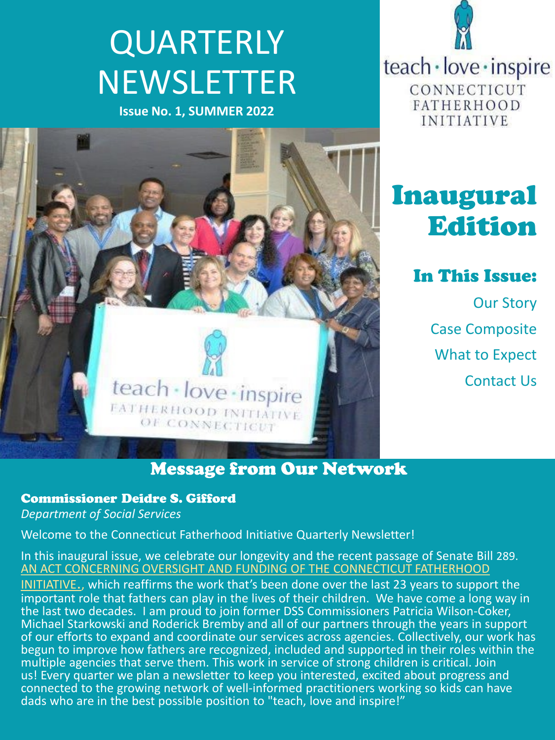# **QUARTERLY** NEWSLETTER

**Issue No. 1, SUMMER 2022**



teach · love · inspire CONNECTICUT **FATHERHOOD INITIATIVE** 

# Inaugural Edition

In This Issue:

Our Story Case Composite What to Expect Contact Us

# Message from Our Network

#### Commissioner Deidre S. Gifford

*Department of Social Services*

Welcome to the Connecticut Fatherhood Initiative Quarterly Newsletter!

In this inaugural issue, we celebrate our longevity and the recent passage of Senate Bill 289. [AN ACT CONCERNING OVERSIGHT AND FUNDING OF THE CONNECTICUT FATHERHOOD](https://www.cga.ct.gov/2022/FC/PDF/2022SB-00289-R000243-FC.PDF) 

INITIATIVE., which reaffirms the work that's been done over the last 23 years to support the important role that fathers can play in the lives of their children. We have come a long way in the last two decades. I am proud to join former DSS Commissioners Patricia Wilson-Coker, Michael Starkowski and Roderick Bremby and all of our partners through the years in support of our efforts to expand and coordinate our services across agencies. Collectively, our work has begun to improve how fathers are recognized, included and supported in their roles within the multiple agencies that serve them. This work in service of strong children is critical. Join us! Every quarter we plan a newsletter to keep you interested, excited about progress and connected to the growing network of well-informed practitioners working so kids can have dads who are in the best possible position to "teach, love and inspire!"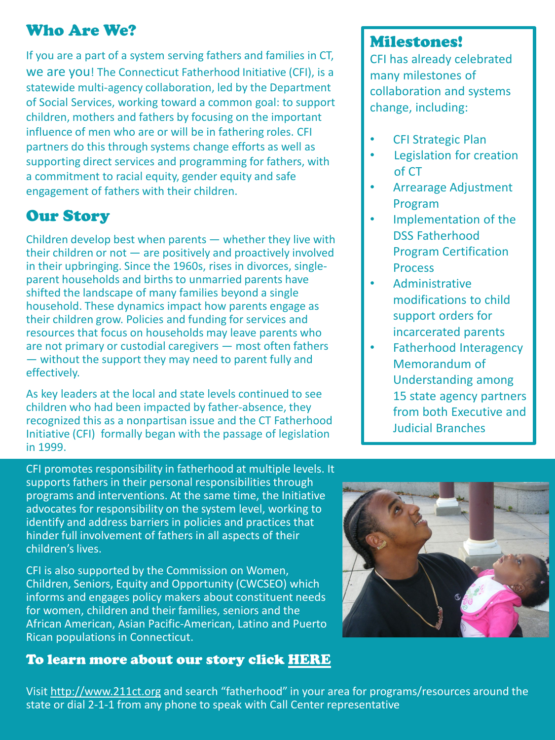# Who Are We?

If you are a part of a system serving fathers and families in CT, we are you! The Connecticut Fatherhood Initiative (CFI), is a statewide multi-agency collaboration, led by the Department of Social Services, working toward a common goal: to support children, mothers and fathers by focusing on the important influence of men who are or will be in fathering roles. CFI partners do this through systems change efforts as well as supporting direct services and programming for fathers, with a commitment to racial equity, gender equity and safe engagement of fathers with their children.

# Our Story

Children develop best when parents — whether they live with their children or not — are positively and proactively involved in their upbringing. Since the 1960s, rises in divorces, singleparent households and births to unmarried parents have shifted the landscape of many families beyond a single household. These dynamics impact how parents engage as their children grow. Policies and funding for services and resources that focus on households may leave parents who are not primary or custodial caregivers — most often fathers — without the support they may need to parent fully and effectively.

As key leaders at the local and state levels continued to see children who had been impacted by father-absence, they recognized this as a nonpartisan issue and the CT Fatherhood Initiative (CFI) formally began with the passage of legislation in 1999.

#### Milestones!

CFI has already celebrated many milestones of collaboration and systems change, including:

- CFI Strategic Plan
- Legislation for creation of CT
- Arrearage Adjustment Program
- Implementation of the DSS Fatherhood Program Certification **Process**
- Administrative modifications to child support orders for incarcerated parents
- Fatherhood Interagency Memorandum of Understanding among 15 state agency partners from both Executive and Judicial Branches

CFI promotes responsibility in fatherhood at multiple levels. It supports fathers in their personal responsibilities through programs and interventions. At the same time, the Initiative advocates for responsibility on the system level, working to identify and address barriers in policies and practices that hinder full involvement of fathers in all aspects of their children's lives.

CFI is also supported by the Commission on Women, Children, Seniors, Equity and Opportunity (CWCSEO) which informs and engages policy makers about constituent needs for women, children and their families, seniors and the African American, Asian Pacific-American, Latino and Puerto Rican populations in Connecticut.

#### To learn more about our story click [HERE](https://portal.ct.gov/Fatherhood/Core/About-Us)



Visit [http://www.211ct.org](http://www.211ct.org/) and search "fatherhood" in your area for programs/resources around the state or dial 2-1-1 from any phone to speak with Call Center representative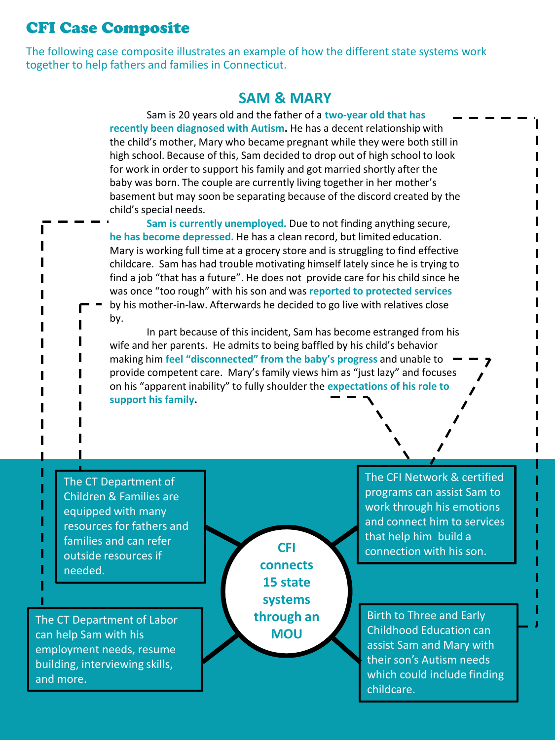## CFI Case Composite

The following case composite illustrates an example of how the different state systems work together to help fathers and families in Connecticut.

#### **SAM & MARY**

Sam is 20 years old and the father of a **two-year old that has recently been diagnosed with Autism.** He has a decent relationship with the child's mother, Mary who became pregnant while they were both still in high school. Because of this, Sam decided to drop out of high school to look for work in order to support his family and got married shortly after the baby was born. The couple are currently living together in her mother's basement but may soon be separating because of the discord created by the child's special needs.

**Sam is currently unemployed.** Due to not finding anything secure, **he has become depressed.** He has a clean record, but limited education. Mary is working full time at a grocery store and is struggling to find effective childcare. Sam has had trouble motivating himself lately since he is trying to find a job "that has a future". He does not provide care for his child since he was once "too rough" with his son and was **reported to protected services**  by his mother-in-law. Afterwards he decided to go live with relatives close by.

In part because of this incident, Sam has become estranged from his wife and her parents. He admits to being baffled by his child's behavior making him **feel "disconnected" from the baby's progress** and unable to provide competent care. Mary's family views him as "just lazy" and focuses on his "apparent inability" to fully shoulder the **expectations of his role to support his family.**

The CT Department of Children & Families are equipped with many resources for fathers and families and can refer outside resources if needed.

The CT Department of Labor can help Sam with his employment needs, resume building, interviewing skills, and more.

**CFI connects 15 state systems through an MOU**

The CFI Network & certified programs can assist Sam to work through his emotions and connect him to services that help him build a connection with his son.

Birth to Three and Early Childhood Education can assist Sam and Mary with their son's Autism needs which could include finding childcare.